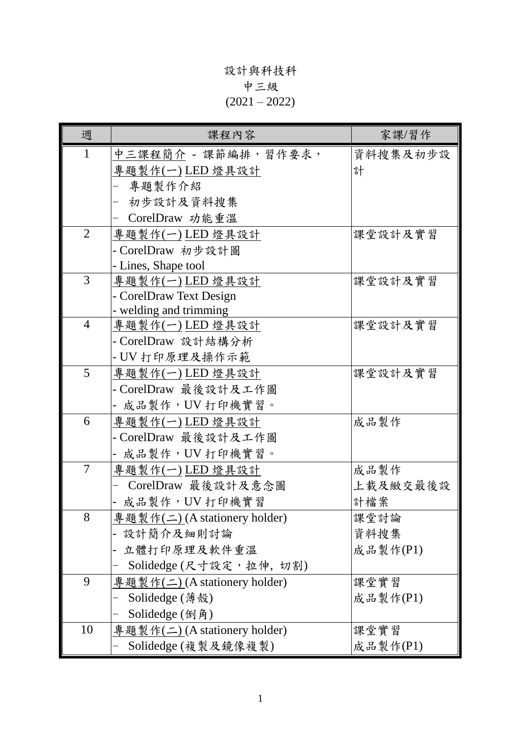## 設計與科技科 中三級  $(2021 - 2022)$

| 週              | 課程內容                                          | 家課/習作    |
|----------------|-----------------------------------------------|----------|
| $\mathbf{1}$   | 中三課程簡介 - 課節編排,習作要求,                           | 資料搜集及初步設 |
|                | 專題製作(一)LED 燈具設計                               | 計        |
|                | 專題製作介紹                                        |          |
|                | 初步設計及資料搜集                                     |          |
|                | CorelDraw 功能重溫                                |          |
| $\overline{2}$ | 專題製作(一)LED 燈具設計                               | 課堂設計及實習  |
|                | - CorelDraw 初步設計圖                             |          |
|                | - Lines, Shape tool                           |          |
| 3              | 專題製作(一)LED 燈具設計                               | 課堂設計及實習  |
|                | - CorelDraw Text Design                       |          |
|                | - welding and trimming                        |          |
| 4              | 專題製作(一) LED 燈具設計                              | 课堂設計及實習  |
|                | - CorelDraw 設計結構分析                            |          |
|                | - UV 打印原理及操作示範                                |          |
| 5              | 專題製作(一)LED燈具設計                                | 課堂設計及實習  |
|                | - CorelDraw 最後設計及工作圖                          |          |
|                | - 成品製作,UV 打印機實習。                              |          |
| 6              | 專題製作(一) LED 燈具設計                              | 成品製作     |
|                | - CorelDraw 最後設計及工作圖                          |          |
|                | - 成品製作,UV 打印機實習。                              |          |
| $\tau$         | 專題製作(一)LED 燈具設計                               | 成品製作     |
|                | CorelDraw 最後設計及意念圖                            | 上載及緻交最後設 |
|                | - 成品製作, UV 打印機實習                              | 計檔案      |
| 8              | 專題製作(二)(A stationery holder)                  | 課堂討論     |
|                | 設計簡介及細則討論                                     | 資料搜集     |
|                | 立體打印原理及軟件重溫                                   | 成品製作(P1) |
|                | Solidedge (尺寸設定, 拉伸, 切割)                      |          |
| 9              | <u> 專題製作(二)</u> (A stationery holder)         | 课堂實習     |
|                | Solidedge $(\ddot{\overline{\mathcal{B}}}$ 殼) | 成品製作(P1) |
|                | Solidedge $(\text{9})$                        |          |
| 10             | 專題製作(二) (A stationery holder)                 | 課堂實習     |
|                | Solidedge (複製及鏡像複製)                           | 成品製作(P1) |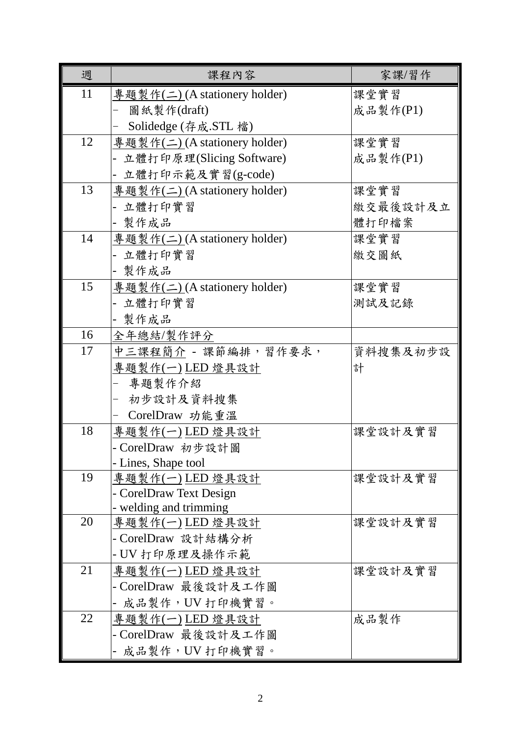| 週  | 課程內容                                       | 家課/習作    |
|----|--------------------------------------------|----------|
| 11 | 專題製作(二)(A stationery holder)               | 課堂實習     |
|    | 圖紙製作(draft)                                | 成品製作(P1) |
|    | Solidedge (存成.STL 檔)                       |          |
| 12 | 專題製作(二) (A stationery holder)              | 課堂實習     |
|    | 立體打印原理(Slicing Software)                   | 成品製作(P1) |
|    | 立體打印示範及實習(g-code)                          |          |
| 13 | 專題製作(二) (A stationery holder)              | 課堂實習     |
|    | 立體打印實習                                     | 繳交最後設計及立 |
|    | 製作成品                                       | 體打印檔案    |
| 14 | 專題製作(二)(A stationery holder)               | 課堂實習     |
|    | 立體打印實習                                     | 繳交圖紙     |
|    | - 製作成品                                     |          |
| 15 | 專題製作(二) (A stationery holder)              | 课堂實習     |
|    | 立體打印實習                                     | 測試及記錄    |
|    | - 製作成品                                     |          |
| 16 | 全年總結/製作評分                                  |          |
| 17 | 中三課程簡介 - 課節編排,習作要求,                        | 資料搜集及初步設 |
|    | 專題製作(一) LED 燈具設計                           | 計        |
|    | 專題製作介紹                                     |          |
|    | 初步設計及資料搜集                                  |          |
|    | CorelDraw 功能重溫                             |          |
| 18 | 專題製作(一)LED 燈具設計                            | 课堂設計及實習  |
|    | - CorelDraw 初步設計圖                          |          |
|    | - Lines, Shape tool                        |          |
| 19 | 專題製作(一) LED 燈具設計                           | 課堂設計及實習  |
|    | - CorelDraw Text Design                    |          |
| 20 | - welding and trimming<br>專題製作(一) LED 燈具設計 | 课堂設計及實習  |
|    | - CorelDraw 設計結構分析                         |          |
|    | - UV 打印原理及操作示範                             |          |
| 21 | 專題製作(一)LED燈具設計                             | 課堂設計及實習  |
|    | - CorelDraw 最後設計及工作圖                       |          |
|    | 成品製作, UV 打印機實習。                            |          |
| 22 | 專題製作(一) LED 燈具設計                           | 成品製作     |
|    | - CorelDraw 最後設計及工作圖                       |          |
|    | - 成品製作,UV 打印機實習。                           |          |
|    |                                            |          |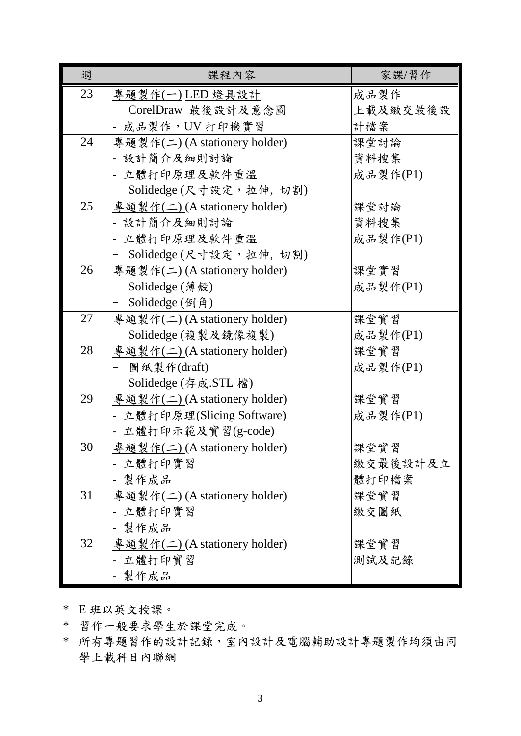| 週  | 課程內容                                  | 家課/習作    |
|----|---------------------------------------|----------|
| 23 | 專題製作(一)LED 燈具設計                       | 成品製作     |
|    | CorelDraw 最後設計及意念圖                    | 上載及緻交最後設 |
|    | 成品製作, UV 打印機實習                        | 計檔案      |
| 24 | 專題製作(二) (A stationery holder)         | 課堂討論     |
|    | - 設計簡介及細則討論                           | 資料搜集     |
|    | 立體打印原理及軟件重溫                           | 成品製作(P1) |
|    | Solidedge (尺寸設定, 拉伸, 切割)              |          |
| 25 | 專題製作(二) (A stationery holder)         | 課堂討論     |
|    | - 設計簡介及細則討論                           | 資料搜集     |
|    | 立體打印原理及軟件重溫                           | 成品製作(P1) |
|    | Solidedge (尺寸設定,拉伸,切割)                |          |
| 26 | 專題製作(二) (A stationery holder)         | 課堂實習     |
|    | Solidedge (薄殻)                        | 成品製作(P1) |
|    | Solidedge (倒角)                        |          |
| 27 | <u> 專題製作(二)</u> (A stationery holder) | 課堂實習     |
|    | Solidedge (複製及鏡像複製)                   | 成品製作(P1) |
| 28 | 專題製作(二) (A stationery holder)         | 課堂實習     |
|    | 圖紙製作(draft)                           | 成品製作(P1) |
|    | Solidedge (存成.STL 檔)                  |          |
| 29 | 專題製作(二) (A stationery holder)         | 課堂實習     |
|    | 立體打印原理(Slicing Software)              | 成品製作(P1) |
|    | 立體打印示範及實習(g-code)                     |          |
| 30 | 專題製作(二) (A stationery holder)         | 課堂實習     |
|    | 立體打印實習                                | 繳交最後設計及立 |
|    | 製作成品                                  | 體打印檔案    |
| 31 | 專題製作(二) (A stationery holder)         | 课堂實習     |
|    | 立體打印實習                                | 繳交圖紙     |
|    | 製作成品                                  |          |
| 32 | 專題製作(二)(A stationery holder)          | 课堂實習     |
|    | 立體打印實習                                | 測試及記錄    |
|    | 製作成品                                  |          |

\* E 班以英文授課。

\* 習作一般要求學生於課堂完成。

\* 所有專題習作的設計記錄,室內設計及電腦輔助設計專題製作均須由同 學上載科目內聯網